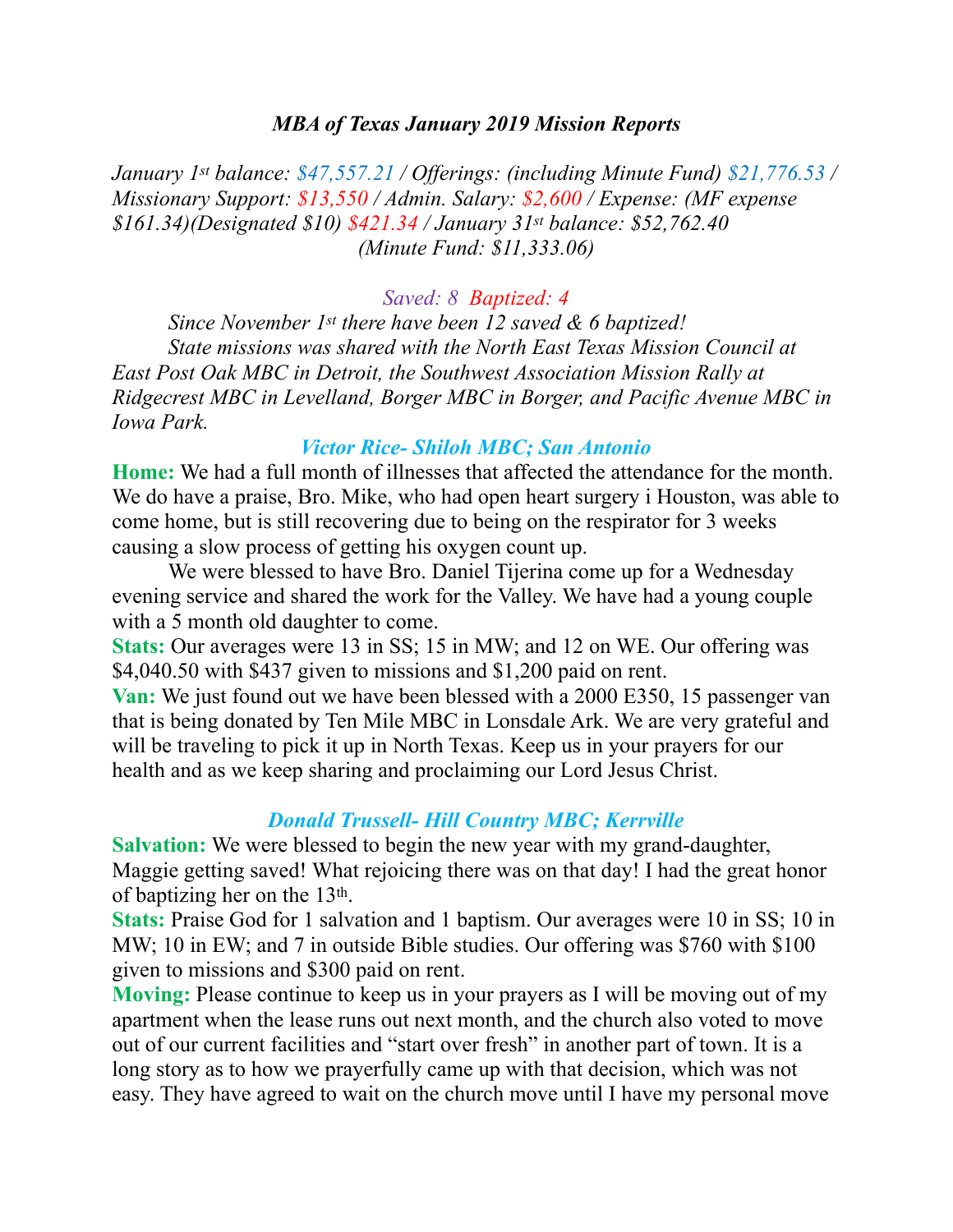#### *MBA of Texas January 2019 Mission Reports*

*January 1st balance: \$47,557.21 / Offerings: (including Minute Fund) \$21,776.53 / Missionary Support: \$13,550 / Admin. Salary: \$2,600 / Expense: (MF expense \$161.34)(Designated \$10) \$421.34 / January 31st balance: \$52,762.40 (Minute Fund: \$11,333.06)* 

#### *Saved: 8 Baptized: 4*

 *Since November 1st there have been 12 saved & 6 baptized! State missions was shared with the North East Texas Mission Council at East Post Oak MBC in Detroit, the Southwest Association Mission Rally at Ridgecrest MBC in Levelland, Borger MBC in Borger, and Pacific Avenue MBC in Iowa Park.* 

#### *Victor Rice- Shiloh MBC; San Antonio*

**Home:** We had a full month of illnesses that affected the attendance for the month. We do have a praise, Bro. Mike, who had open heart surgery i Houston, was able to come home, but is still recovering due to being on the respirator for 3 weeks causing a slow process of getting his oxygen count up.

 We were blessed to have Bro. Daniel Tijerina come up for a Wednesday evening service and shared the work for the Valley. We have had a young couple with a 5 month old daughter to come.

Stats: Our averages were 13 in SS; 15 in MW; and 12 on WE. Our offering was \$4,040.50 with \$437 given to missions and \$1,200 paid on rent.

**Van:** We just found out we have been blessed with a 2000 E350, 15 passenger van that is being donated by Ten Mile MBC in Lonsdale Ark. We are very grateful and will be traveling to pick it up in North Texas. Keep us in your prayers for our health and as we keep sharing and proclaiming our Lord Jesus Christ.

## *Donald Trussell- Hill Country MBC; Kerrville*

**Salvation:** We were blessed to begin the new year with my grand-daughter, Maggie getting saved! What rejoicing there was on that day! I had the great honor of baptizing her on the 13th.

**Stats:** Praise God for 1 salvation and 1 baptism. Our averages were 10 in SS; 10 in MW; 10 in EW; and 7 in outside Bible studies. Our offering was \$760 with \$100 given to missions and \$300 paid on rent.

**Moving:** Please continue to keep us in your prayers as I will be moving out of my apartment when the lease runs out next month, and the church also voted to move out of our current facilities and "start over fresh" in another part of town. It is a long story as to how we prayerfully came up with that decision, which was not easy. They have agreed to wait on the church move until I have my personal move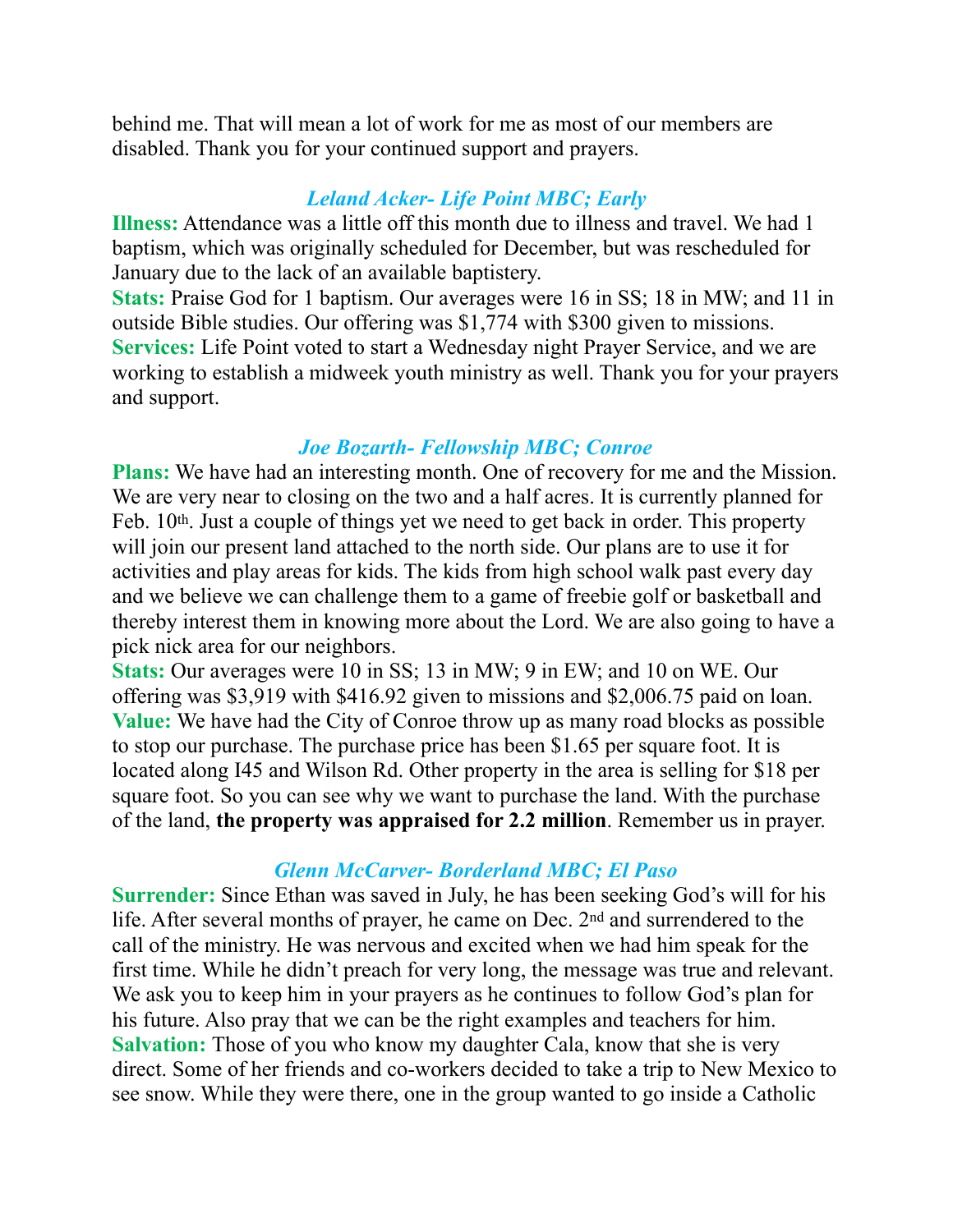behind me. That will mean a lot of work for me as most of our members are disabled. Thank you for your continued support and prayers.

# *Leland Acker- Life Point MBC; Early*

**Illness:** Attendance was a little off this month due to illness and travel. We had 1 baptism, which was originally scheduled for December, but was rescheduled for January due to the lack of an available baptistery.

**Stats:** Praise God for 1 baptism. Our averages were 16 in SS; 18 in MW; and 11 in outside Bible studies. Our offering was \$1,774 with \$300 given to missions. **Services:** Life Point voted to start a Wednesday night Prayer Service, and we are working to establish a midweek youth ministry as well. Thank you for your prayers and support.

## *Joe Bozarth- Fellowship MBC; Conroe*

**Plans:** We have had an interesting month. One of recovery for me and the Mission. We are very near to closing on the two and a half acres. It is currently planned for Feb. 10<sup>th</sup>. Just a couple of things yet we need to get back in order. This property will join our present land attached to the north side. Our plans are to use it for activities and play areas for kids. The kids from high school walk past every day and we believe we can challenge them to a game of freebie golf or basketball and thereby interest them in knowing more about the Lord. We are also going to have a pick nick area for our neighbors.

**Stats:** Our averages were 10 in SS; 13 in MW; 9 in EW; and 10 on WE. Our offering was \$3,919 with \$416.92 given to missions and \$2,006.75 paid on loan. **Value:** We have had the City of Conroe throw up as many road blocks as possible to stop our purchase. The purchase price has been \$1.65 per square foot. It is located along I45 and Wilson Rd. Other property in the area is selling for \$18 per square foot. So you can see why we want to purchase the land. With the purchase of the land, **the property was appraised for 2.2 million**. Remember us in prayer.

## *Glenn McCarver- Borderland MBC; El Paso*

**Surrender:** Since Ethan was saved in July, he has been seeking God's will for his life. After several months of prayer, he came on Dec. 2nd and surrendered to the call of the ministry. He was nervous and excited when we had him speak for the first time. While he didn't preach for very long, the message was true and relevant. We ask you to keep him in your prayers as he continues to follow God's plan for his future. Also pray that we can be the right examples and teachers for him. **Salvation:** Those of you who know my daughter Cala, know that she is very direct. Some of her friends and co-workers decided to take a trip to New Mexico to see snow. While they were there, one in the group wanted to go inside a Catholic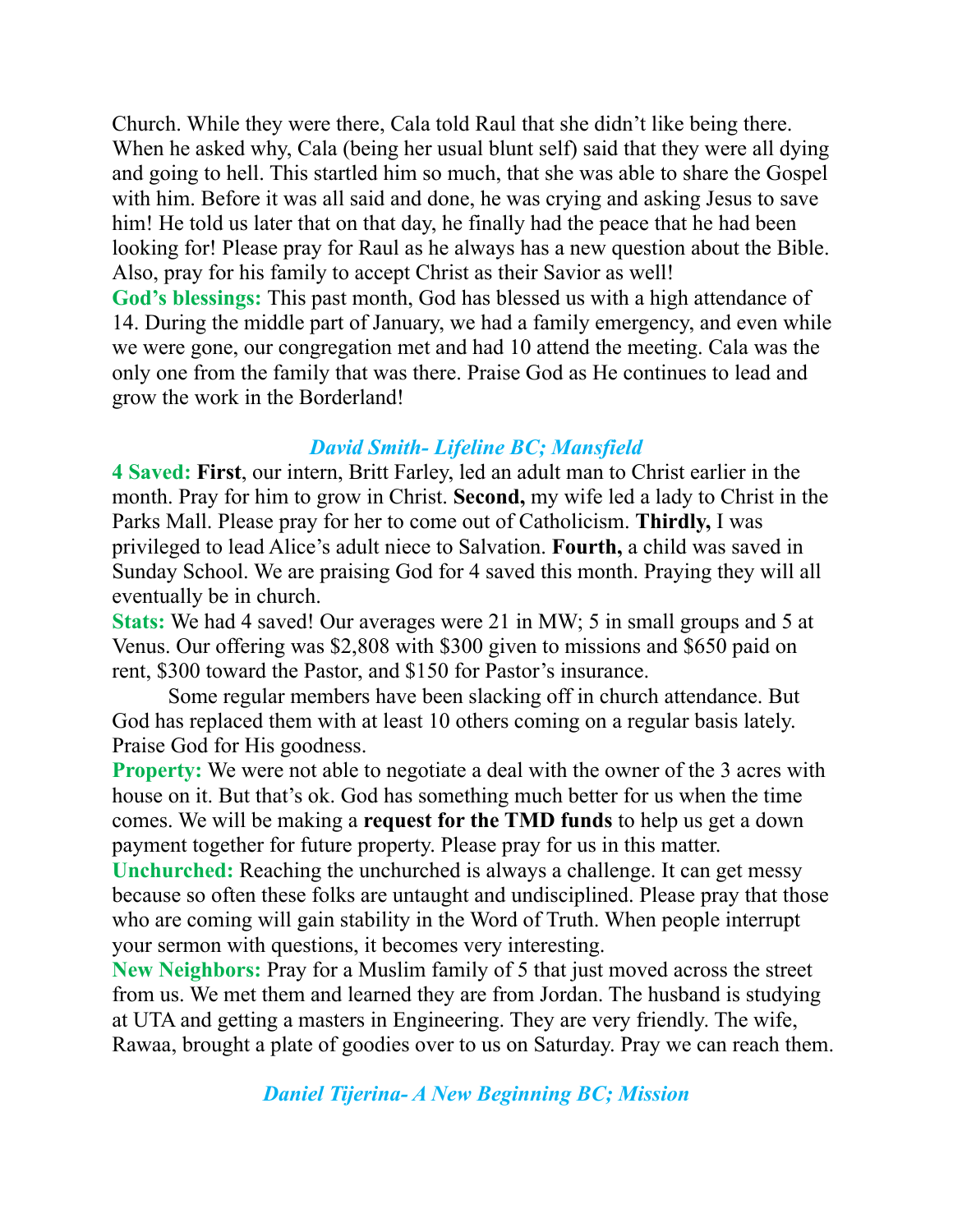Church. While they were there, Cala told Raul that she didn't like being there. When he asked why, Cala (being her usual blunt self) said that they were all dying and going to hell. This startled him so much, that she was able to share the Gospel with him. Before it was all said and done, he was crying and asking Jesus to save him! He told us later that on that day, he finally had the peace that he had been looking for! Please pray for Raul as he always has a new question about the Bible. Also, pray for his family to accept Christ as their Savior as well! **God's blessings:** This past month, God has blessed us with a high attendance of 14. During the middle part of January, we had a family emergency, and even while we were gone, our congregation met and had 10 attend the meeting. Cala was the only one from the family that was there. Praise God as He continues to lead and grow the work in the Borderland!

## *David Smith- Lifeline BC; Mansfield*

**4 Saved: First**, our intern, Britt Farley, led an adult man to Christ earlier in the month. Pray for him to grow in Christ. **Second,** my wife led a lady to Christ in the Parks Mall. Please pray for her to come out of Catholicism. **Thirdly,** I was privileged to lead Alice's adult niece to Salvation. **Fourth,** a child was saved in Sunday School. We are praising God for 4 saved this month. Praying they will all eventually be in church.

**Stats:** We had 4 saved! Our averages were 21 in MW; 5 in small groups and 5 at Venus. Our offering was \$2,808 with \$300 given to missions and \$650 paid on rent, \$300 toward the Pastor, and \$150 for Pastor's insurance.

 Some regular members have been slacking off in church attendance. But God has replaced them with at least 10 others coming on a regular basis lately. Praise God for His goodness.

**Property:** We were not able to negotiate a deal with the owner of the 3 acres with house on it. But that's ok. God has something much better for us when the time comes. We will be making a **request for the TMD funds** to help us get a down payment together for future property. Please pray for us in this matter.

**Unchurched:** Reaching the unchurched is always a challenge. It can get messy because so often these folks are untaught and undisciplined. Please pray that those who are coming will gain stability in the Word of Truth. When people interrupt your sermon with questions, it becomes very interesting.

**New Neighbors:** Pray for a Muslim family of 5 that just moved across the street from us. We met them and learned they are from Jordan. The husband is studying at UTA and getting a masters in Engineering. They are very friendly. The wife, Rawaa, brought a plate of goodies over to us on Saturday. Pray we can reach them.

*Daniel Tijerina- A New Beginning BC; Mission*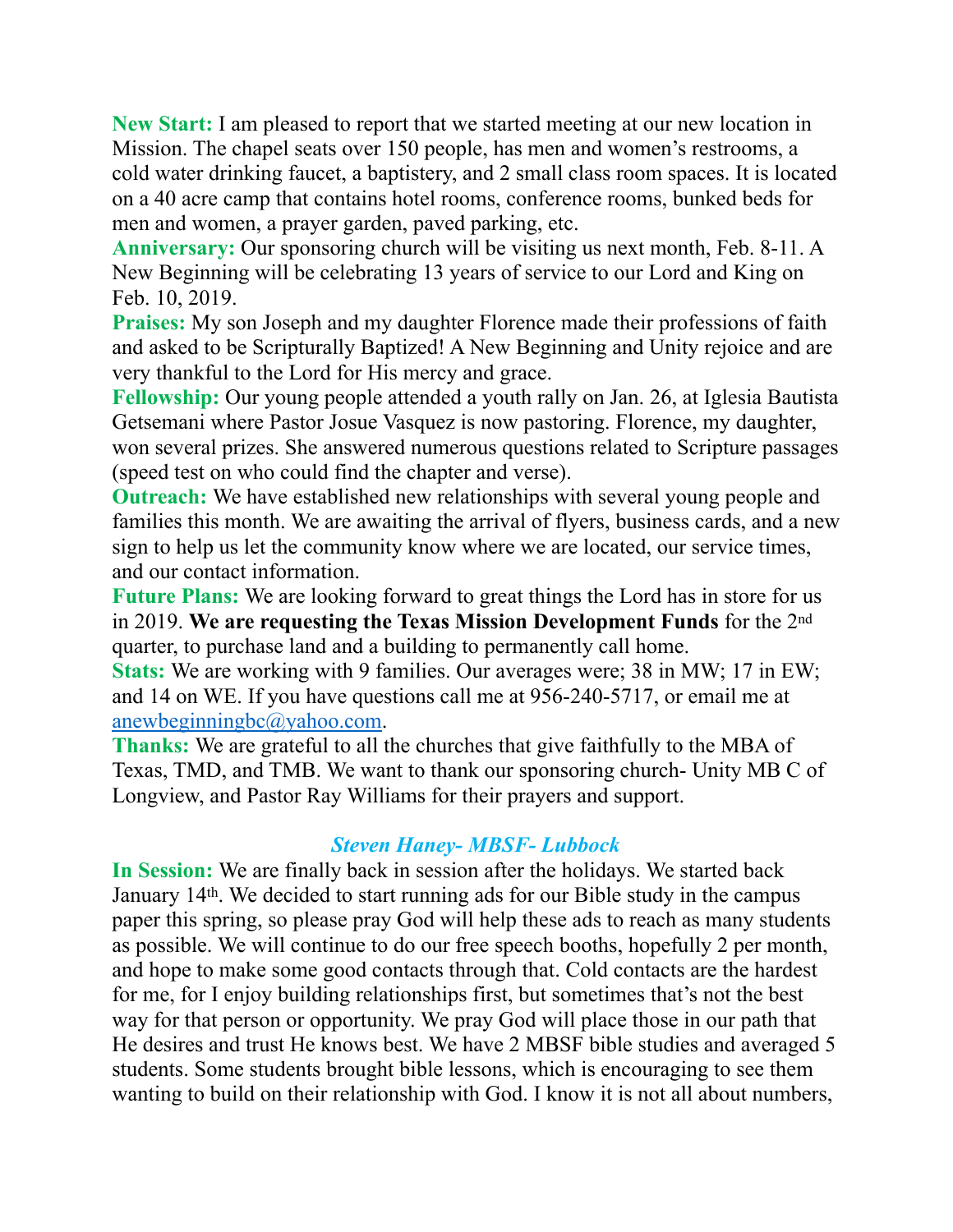**New Start:** I am pleased to report that we started meeting at our new location in Mission. The chapel seats over 150 people, has men and women's restrooms, a cold water drinking faucet, a baptistery, and 2 small class room spaces. It is located on a 40 acre camp that contains hotel rooms, conference rooms, bunked beds for men and women, a prayer garden, paved parking, etc.

**Anniversary:** Our sponsoring church will be visiting us next month, Feb. 8-11. A New Beginning will be celebrating 13 years of service to our Lord and King on Feb. 10, 2019.

**Praises:** My son Joseph and my daughter Florence made their professions of faith and asked to be Scripturally Baptized! A New Beginning and Unity rejoice and are very thankful to the Lord for His mercy and grace.

**Fellowship:** Our young people attended a youth rally on Jan. 26, at Iglesia Bautista Getsemani where Pastor Josue Vasquez is now pastoring. Florence, my daughter, won several prizes. She answered numerous questions related to Scripture passages (speed test on who could find the chapter and verse).

**Outreach:** We have established new relationships with several young people and families this month. We are awaiting the arrival of flyers, business cards, and a new sign to help us let the community know where we are located, our service times, and our contact information.

**Future Plans:** We are looking forward to great things the Lord has in store for us in 2019. **We are requesting the Texas Mission Development Funds** for the 2nd quarter, to purchase land and a building to permanently call home.

**Stats:** We are working with 9 families. Our averages were; 38 in MW; 17 in EW; and 14 on WE. If you have questions call me at 956-240-5717, or email me at [anewbeginningbc@yahoo.com](mailto:anewbeginningbc@yahoo.com).

**Thanks:** We are grateful to all the churches that give faithfully to the MBA of Texas, TMD, and TMB. We want to thank our sponsoring church- Unity MB C of Longview, and Pastor Ray Williams for their prayers and support.

## *Steven Haney- MBSF- Lubbock*

**In Session:** We are finally back in session after the holidays. We started back January 14th. We decided to start running ads for our Bible study in the campus paper this spring, so please pray God will help these ads to reach as many students as possible. We will continue to do our free speech booths, hopefully 2 per month, and hope to make some good contacts through that. Cold contacts are the hardest for me, for I enjoy building relationships first, but sometimes that's not the best way for that person or opportunity. We pray God will place those in our path that He desires and trust He knows best. We have 2 MBSF bible studies and averaged 5 students. Some students brought bible lessons, which is encouraging to see them wanting to build on their relationship with God. I know it is not all about numbers,